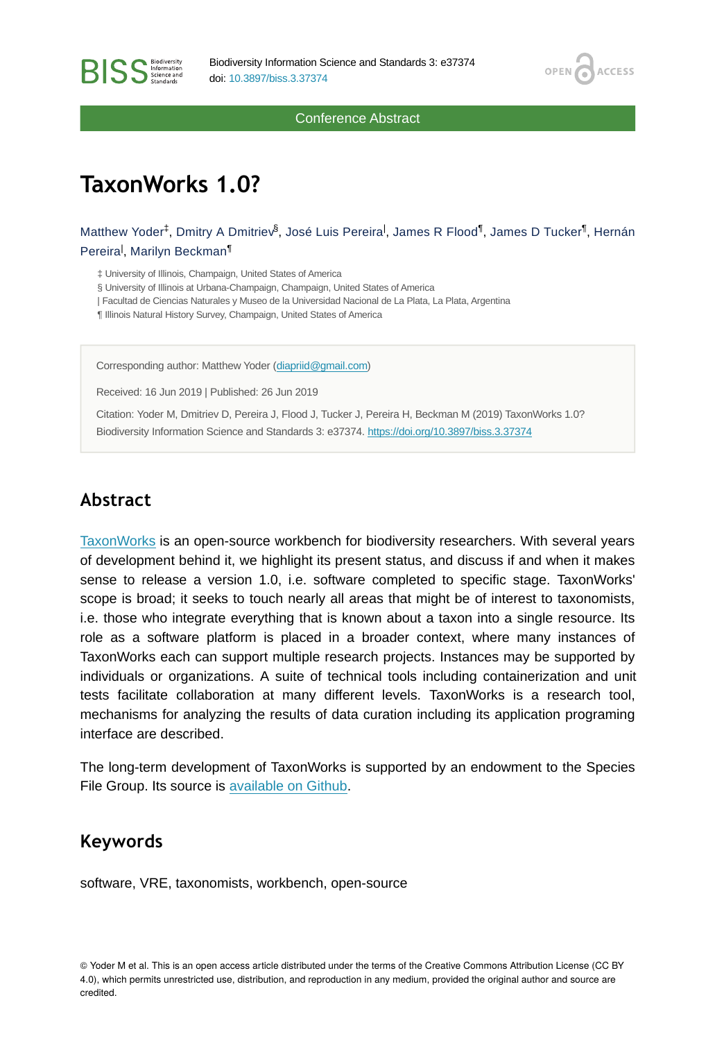OPEN /

**ACCESS** 

Conference Abstract

# **TaxonWorks 1.0?**

Matthew Yoder $^\ddag$ , Dmitry A Dmitriev $^\delta$ , José Luis Pereira<sup>l</sup>, James R Flood $^\mathbb{I}$ , James D Tucker $^\mathbb{I}$ , Hernán Pereira<sup>l</sup>, Marilyn Beckman<sup>¶</sup>

‡ University of Illinois, Champaign, United States of America

§ University of Illinois at Urbana-Champaign, Champaign, United States of America

| Facultad de Ciencias Naturales y Museo de la Universidad Nacional de La Plata, La Plata, Argentina

¶ Illinois Natural History Survey, Champaign, United States of America

Corresponding author: Matthew Yoder ([diapriid@gmail.com](mailto:diapriid@gmail.com))

Received: 16 Jun 2019 | Published: 26 Jun 2019

Citation: Yoder M, Dmitriev D, Pereira J, Flood J, Tucker J, Pereira H, Beckman M (2019) TaxonWorks 1.0? Biodiversity Information Science and Standards 3: e37374.<https://doi.org/10.3897/biss.3.37374>

#### **Abstract**

[TaxonWorks](http://taxonworks.org) is an open-source workbench for biodiversity researchers. With several years of development behind it, we highlight its present status, and discuss if and when it makes sense to release a version 1.0, i.e. software completed to specific stage. TaxonWorks' scope is broad; it seeks to touch nearly all areas that might be of interest to taxonomists, i.e. those who integrate everything that is known about a taxon into a single resource. Its role as a software platform is placed in a broader context, where many instances of TaxonWorks each can support multiple research projects. Instances may be supported by individuals or organizations. A suite of technical tools including containerization and unit tests facilitate collaboration at many different levels. TaxonWorks is a research tool, mechanisms for analyzing the results of data curation including its application programing interface are described.

The long-term development of TaxonWorks is supported by an endowment to the Species File Group. Its source is [available on Github](https://github.com/SpeciesFileGroup/taxonworks).

#### **Keywords**

software, VRE, taxonomists, workbench, open-source

© Yoder M et al. This is an open access article distributed under the terms of the Creative Commons Attribution License (CC BY 4.0), which permits unrestricted use, distribution, and reproduction in any medium, provided the original author and source are credited.